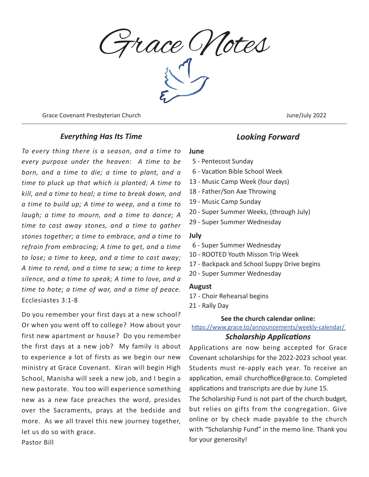Grace Notes

Grace Covenant Presbyterian Church June/July 2022

#### *Everything Has Its Time*

*To every thing there is a season, and a time to every purpose under the heaven: A time to be born, and a time to die; a time to plant, and a time to pluck up that which is planted; A time to kill, and a time to heal; a time to break down, and a time to build up; A time to weep, and a time to laugh; a time to mourn, and a time to dance; A time to cast away stones, and a time to gather stones together; a time to embrace, and a time to refrain from embracing; A time to get, and a time to lose; a time to keep, and a time to cast away; A time to rend, and a time to sew; a time to keep silence, and a time to speak; A time to love, and a time to hate; a time of war, and a time of peace.*  Ecclesiastes 3:1-8

Do you remember your first days at a new school? Or when you went off to college? How about your first new apartment or house? Do you remember the first days at a new job? My family is about to experience a lot of firsts as we begin our new ministry at Grace Covenant. Kiran will begin High School, Manisha will seek a new job, and I begin a new pastorate. You too will experience something new as a new face preaches the word, presides over the Sacraments, prays at the bedside and more. As we all travel this new journey together, let us do so with grace. Pastor Bill

## *Looking Forward*

#### **June**

- 5 Pentecost Sunday
- 6 Vacation Bible School Week
- 13 Music Camp Week (four days)
- 18 Father/Son Axe Throwing
- 19 Music Camp Sunday
- 20 Super Summer Weeks, (through July)
- 29 Super Summer Wednesday

#### **July**

- 6 Super Summer Wednesday
- 10 ROOTED Youth Misson Trip Week
- 17 Backpack and School Suppy Drive begins
- 20 Super Summer Wednesday

#### **August**

- 17 Choir Rehearsal begins
- 21 Rally Day

#### **See the church calendar online:**

<https://www.grace.to/announcements/weekly-calendar/>

#### *Scholarship Applications*

Applications are now being accepted for Grace Covenant scholarships for the 2022-2023 school year. Students must re-apply each year. To receive an application, email churchoffice@grace.to. Completed applications and transcripts are due by June 15.

The Scholarship Fund is not part of the church budget, but relies on gifts from the congregation. Give online or by check made payable to the church with "Scholarship Fund" in the memo line. Thank you for your generosity!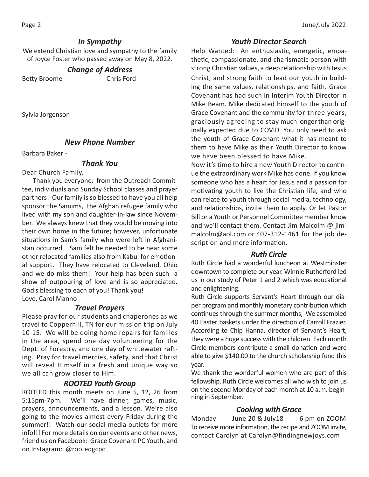## *In Sympathy*

We extend Christian love and sympathy to the family of Joyce Foster who passed away on May 8, 2022.

## *Change of Address*

Betty Broome Chris Ford

Sylvia Jorgenson

## *New Phone Number*

Barbara Baker -

#### *Thank You*

Dear Church Family,

 Thank you everyone: from the Outreach Committee, individuals and Sunday School classes and prayer partners! Our family is so blessed to have you all help sponsor the Samims, the Afghan refugee family who lived with my son and daughter-in-law since November. We always knew that they would be moving into their own home in the future; however, unfortunate situations in Sam's family who were left in Afghanistan occurred . Sam felt he needed to be near some other relocated families also from Kabul for emotional support. They have relocated to Cleveland, Ohio and we do miss them! Your help has been such a show of outpouring of love and is so appreciated. God's blessing to each of you! Thank you! Love, Carol Manno

## *Travel Prayers*

Please pray for our students and chaperones as we travel to Copperhill, TN for our mission trip on July 10-15. We will be doing home repairs for families in the area, spend one day volunteering for the Dept. of Forestry, and one day of whitewater rafting. Pray for travel mercies, safety, and that Christ will reveal Himself in a fresh and unique way so we all can grow closer to Him.

## *ROOTED Youth Group*

ROOTED this month meets on June 5, 12, 26 from 5:15pm-7pm. We'll have dinner, games, music, prayers, announcements, and a lesson. We're also going to the movies almost every Friday during the summer!! Watch our social media outlets for more info!!! For more details on our events and other news, friend us on Facebook: Grace Covenant PC Youth, and on Instagram: @rootedgcpc

#### *Youth Director Search*

Help Wanted: An enthusiastic, energetic, empathetic, compassionate, and charismatic person with strong Christian values, a deep relationship with Jesus Christ, and strong faith to lead our youth in building the same values, relationships, and faith. Grace Covenant has had such in Interim Youth Director in Mike Beam. Mike dedicated himself to the youth of Grace Covenant and the community for three years, graciously agreeing to stay much longer than originally expected due to COVID. You only need to ask the youth of Grace Covenant what it has meant to them to have Mike as their Youth Director to know we have been blessed to have Mike.

Now it's time to hire a new Youth Director to continue the extraordinary work Mike has done. If you know someone who has a heart for Jesus and a passion for motivating youth to live the Christian life, and who can relate to youth through social media, technology, and relationships, invite them to apply. Or let Pastor Bill or a Youth or Personnel Committee member know and we'll contact them. Contact Jim Malcolm  $\omega$  jimmalcolm@aol.com or 407-312-1461 for the job description and more information.

## *Ruth Circle*

Ruth Circle had a wonderful luncheon at Westminster downtown to complete our year. Winnie Rutherford led us in our study of Peter 1 and 2 which was educational and enlightening.

Ruth Circle supports Servant's Heart through our diaper program and monthly monetary contribution which continues through the summer months, We assembled 40 Easter baskets under the direction of Carroll Frazier. According to Chip Hanna, director of Servant's Heart, they were a huge success with the children. Each month Circle members contribute a small donation and were able to give \$140.00 to the church scholarship fund this year.

We thank the wonderful women who are part of this fellowship. Ruth Circle welcomes all who wish to join us on the second Monday of each month at 10 a.m. beginning in September.

## *Cooking with Grace*

Monday June 20 & July 18 6 pm on ZOOM To receive more information, the recipe and ZOOM invite, contact Carolyn at Carolyn@findingnewjoys.com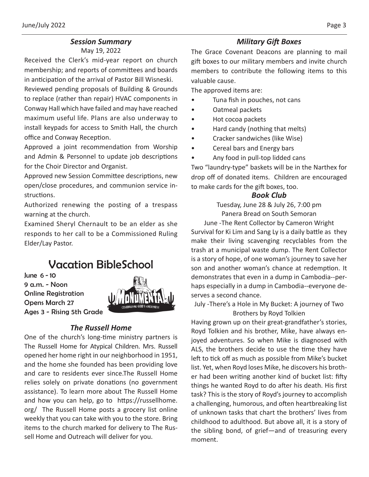## *Session Summary*

May 19, 2022

Received the Clerk's mid-year report on church membership; and reports of committees and boards in anticipation of the arrival of Pastor Bill Wisneski.

Reviewed pending proposals of Building & Grounds to replace (rather than repair) HVAC components in Conway Hall which have failed and may have reached maximum useful life. Plans are also underway to install keypads for access to Smith Hall, the church office and Conway Reception.

Approved a joint recommendation from Worship and Admin & Personnel to update job descriptions for the Choir Director and Organist.

Approved new Session Committee descriptions, new open/close procedures, and communion service instructions.

Authorized renewing the posting of a trespass warning at the church.

Examined Sheryl Chernault to be an elder as she responds to her call to be a Commissioned Ruling Elder/Lay Pastor.

# Vacation BibleSchool

June 6 - 10 9 a.m. - Noon Online Registration Opens March 27 Ages 3 - Rising 5th Grade



## *The Russell Home*

One of the church's long-time ministry partners is The Russell Home for Atypical Children. Mrs. Russell opened her home right in our neighborhood in 1951, and the home she founded has been providing love and care to residents ever since.The Russell Home relies solely on private donations (no government assistance). To learn more about The Russell Home and how you can help, go to https://russellhome. org/ The Russell Home posts a grocery list online weekly that you can take with you to the store. Bring items to the church marked for delivery to The Russell Home and Outreach will deliver for you.

## *Military Gift Boxes*

The Grace Covenant Deacons are planning to mail gift boxes to our military members and invite church members to contribute the following items to this valuable cause.

The approved items are:

- Tuna fish in pouches, not cans
- Oatmeal packets
- Hot cocoa packets
- Hard candy (nothing that melts)
- Cracker sandwiches (like Wise)
- Cereal bars and Energy bars
- Any food in pull-top lidded cans

Two "laundry-type" baskets will be in the Narthex for drop off of donated items. Children are encouraged to make cards for the gift boxes, too.

## *Book Club*

Tuesday, June 28 & July 26, 7:00 pm Panera Bread on South Semoran

June -The Rent Collector by Cameron Wright Survival for Ki Lim and Sang Ly is a daily battle as they make their living scavenging recyclables from the trash at a municipal waste dump. The Rent Collector is a story of hope, of one woman's journey to save her son and another woman's chance at redemption. It demonstrates that even in a dump in Cambodia--perhaps especially in a dump in Cambodia--everyone deserves a second chance.

July -There's a Hole in My Bucket: A journey of Two Brothers by Royd Tolkien

Having grown up on their great-grandfather's stories, Royd Tolkien and his brother, Mike, have always enjoyed adventures. So when Mike is diagnosed with ALS, the brothers decide to use the time they have left to tick off as much as possible from Mike's bucket list. Yet, when Royd loses Mike, he discovers his brother had been writing another kind of bucket list: fifty things he wanted Royd to do after his death. His first task? This is the story of Royd's journey to accomplish a challenging, humorous, and often heartbreaking list of unknown tasks that chart the brothers' lives from childhood to adulthood. But above all, it is a story of the sibling bond, of grief—and of treasuring every moment.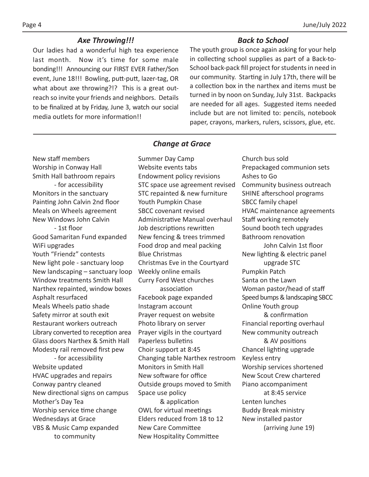## *Axe Throwing!!!*

Our ladies had a wonderful high tea experience last month. Now it's time for some male bonding!!! Announcing our FIRST EVER Father/Son event, June 18!!! Bowling, putt-putt, lazer-tag, OR what about axe throwing?!? This is a great outreach so invite your friends and neighbors. Details to be finalized at by Friday, June 3, watch our social media outlets for more information!!

## *Back to School*

The youth group is once again asking for your help in collecting school supplies as part of a Back-to-School back-pack fill project for students in need in our community. Starting in July 17th, there will be a collection box in the narthex and items must be turned in by noon on Sunday, July 31st. Backpacks are needed for all ages. Suggested items needed include but are not limited to: pencils, notebook paper, crayons, markers, rulers, scissors, glue, etc.

## New staff members Worship in Conway Hall Smith Hall bathroom repairs - for accessibility Monitors in the sanctuary Painting John Calvin 2nd floor Meals on Wheels agreement New Windows John Calvin - 1st floor Good Samaritan Fund expanded WiFi upgrades Youth "Friendz" contests New light pole - sanctuary loop New landscaping – sanctuary loop Window treatments Smith Hall Narthex repainted, window boxes Asphalt resurfaced Meals Wheels patio shade Safety mirror at south exit Restaurant workers outreach Library converted to reception area Glass doors Narthex & Smith Hall Modesty rail removed first pew - for accessibility

Website updated HVAC upgrades and repairs Conway pantry cleaned New directional signs on campus Mother's Day Tea Worship service time change Wednesdays at Grace VBS & Music Camp expanded to community

## *Change at Grace*

Summer Day Camp Website events tabs Endowment policy revisions STC space use agreement revised STC repainted & new furniture Youth Pumpkin Chase SBCC covenant revised Administrative Manual overhaul Job descriptions rewritten New fencing & trees trimmed Food drop and meal packing Blue Christmas Christmas Eve in the Courtyard Weekly online emails Curry Ford West churches association Facebook page expanded Instagram account Prayer request on website Photo library on server Prayer vigils in the courtyard Paperless bulletins Choir support at 8:45 Changing table Narthex restroom Monitors in Smith Hall New software for office Outside groups moved to Smith Space use policy & application OWL for virtual meetings Elders reduced from 18 to 12 New Care Committee New Hospitality Committee

Church bus sold Prepackaged communion sets Ashes to Go Community business outreach SHINE afterschool programs SBCC family chapel HVAC maintenance agreements Staff working remotely Sound booth tech upgrades Bathroom renovation John Calvin 1st floor New lighting & electric panel upgrade STC Pumpkin Patch Santa on the Lawn Woman pastor/head of staff Speed bumps & landscaping SBCC Online Youth group & confirmation Financial reporting overhaul New community outreach & AV positions Chancel lighting upgrade Keyless entry Worship services shortened New Scout Crew chartered Piano accompaniment at 8:45 service Lenten lunches Buddy Break ministry New installed pastor (arriving June 19)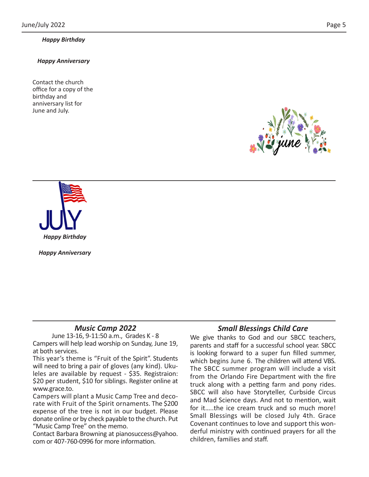*Happy Birthday*

*Happy Anniversary*

Contact the church office for a copy of the birthday and anniversary list for June and July.





*Happy Anniversary*

## *Music Camp 2022*

June 13-16, 9-11:50 a.m., Grades K - 8 Campers will help lead worship on Sunday, June 19, at both services.

This year's theme is "Fruit of the Spirit". Students will need to bring a pair of gloves (any kind). Ukuleles are available by request - \$35. Registraion: \$20 per student, \$10 for siblings. Register online at www.grace.to.

Campers will plant a Music Camp Tree and decorate with Fruit of the Spirit ornaments. The \$200 expense of the tree is not in our budget. Please donate online or by check payable to the church. Put "Music Camp Tree" on the memo.

Contact Barbara Browning at pianosuccess@yahoo. com or 407-760-0996 for more information.

#### *Small Blessings Child Care*

We give thanks to God and our SBCC teachers, parents and staff for a successful school year. SBCC is looking forward to a super fun filled summer, which begins June 6. The children will attend VBS. The SBCC summer program will include a visit from the Orlando Fire Department with the fire truck along with a petting farm and pony rides. SBCC will also have Storyteller, Curbside Circus and Mad Science days. And not to mention, wait for it…..the ice cream truck and so much more! Small Blessings will be closed July 4th. Grace Covenant continues to love and support this wonderful ministry with continued prayers for all the children, families and staff.